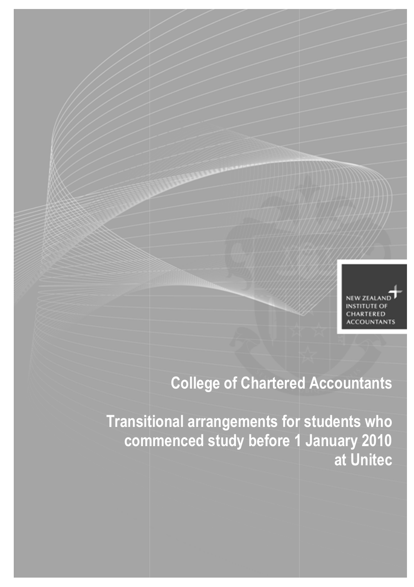

# College of Chartered Accountants

Transitional arrangements for students who commenced study before 1 January 2010 at Unitec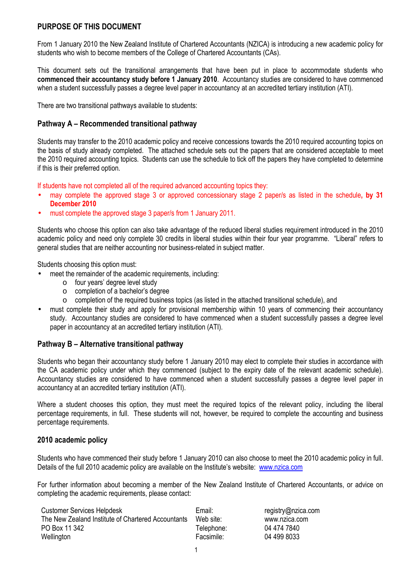# PURPOSE OF THIS DOCUMENT

From 1 January 2010 the New Zealand Institute of Chartered Accountants (NZICA) is introducing a new academic policy for students who wish to become members of the College of Chartered Accountants (CAs).

This document sets out the transitional arrangements that have been put in place to accommodate students who commenced their accountancy study before 1 January 2010. Accountancy studies are considered to have commenced when a student successfully passes a degree level paper in accountancy at an accredited tertiary institution (ATI).

There are two transitional pathways available to students:

### Pathway A – Recommended transitional pathway

Students may transfer to the 2010 academic policy and receive concessions towards the 2010 required accounting topics on the basis of study already completed. The attached schedule sets out the papers that are considered acceptable to meet the 2010 required accounting topics. Students can use the schedule to tick off the papers they have completed to determine if this is their preferred option.

If students have not completed all of the required advanced accounting topics they:

- may complete the approved stage 3 or approved concessionary stage 2 paper/s as listed in the schedule, by 31 December 2010
- must complete the approved stage 3 paper/s from 1 January 2011.

Students who choose this option can also take advantage of the reduced liberal studies requirement introduced in the 2010 academic policy and need only complete 30 credits in liberal studies within their four year programme. "Liberal" refers to general studies that are neither accounting nor business-related in subject matter.

Students choosing this option must:

- meet the remainder of the academic requirements, including:
	- o four years' degree level study
	- o completion of a bachelor's degree
	- o completion of the required business topics (as listed in the attached transitional schedule), and
- must complete their study and apply for provisional membership within 10 years of commencing their accountancy study. Accountancy studies are considered to have commenced when a student successfully passes a degree level paper in accountancy at an accredited tertiary institution (ATI).

#### Pathway B – Alternative transitional pathway

Students who began their accountancy study before 1 January 2010 may elect to complete their studies in accordance with the CA academic policy under which they commenced (subject to the expiry date of the relevant academic schedule). Accountancy studies are considered to have commenced when a student successfully passes a degree level paper in accountancy at an accredited tertiary institution (ATI).

Where a student chooses this option, they must meet the required topics of the relevant policy, including the liberal percentage requirements, in full. These students will not, however, be required to complete the accounting and business percentage requirements.

#### 2010 academic policy

Students who have commenced their study before 1 January 2010 can also choose to meet the 2010 academic policy in full. Details of the full 2010 academic policy are available on the Institute's website: www.nzica.com

For further information about becoming a member of the New Zealand Institute of Chartered Accountants, or advice on completing the academic requirements, please contact:

| <b>Customer Services Helpdesk</b>                  | Email:     | registry@nzica.com |
|----------------------------------------------------|------------|--------------------|
| The New Zealand Institute of Chartered Accountants | Web site:  | www.nzica.com      |
| PO Box 11 342                                      | Telephone: | 04 474 7840        |
| Wellington                                         | Facsimile: | 04 499 8033        |